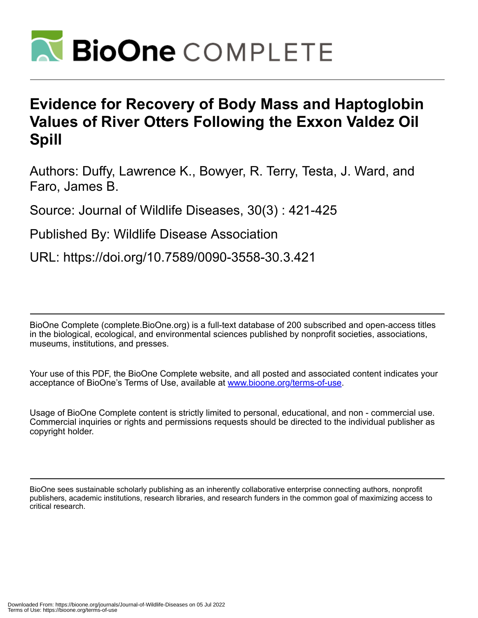

## **Evidence for Recovery of Body Mass and Haptoglobin Values of River Otters Following the Exxon Valdez Oil Spill**

Authors: Duffy, Lawrence K., Bowyer, R. Terry, Testa, J. Ward, and Faro, James B.

Source: Journal of Wildlife Diseases, 30(3) : 421-425

Published By: Wildlife Disease Association

URL: https://doi.org/10.7589/0090-3558-30.3.421

BioOne Complete (complete.BioOne.org) is a full-text database of 200 subscribed and open-access titles in the biological, ecological, and environmental sciences published by nonprofit societies, associations, museums, institutions, and presses.

Your use of this PDF, the BioOne Complete website, and all posted and associated content indicates your acceptance of BioOne's Terms of Use, available at www.bioone.org/terms-of-use.

Usage of BioOne Complete content is strictly limited to personal, educational, and non - commercial use. Commercial inquiries or rights and permissions requests should be directed to the individual publisher as copyright holder.

BioOne sees sustainable scholarly publishing as an inherently collaborative enterprise connecting authors, nonprofit publishers, academic institutions, research libraries, and research funders in the common goal of maximizing access to critical research.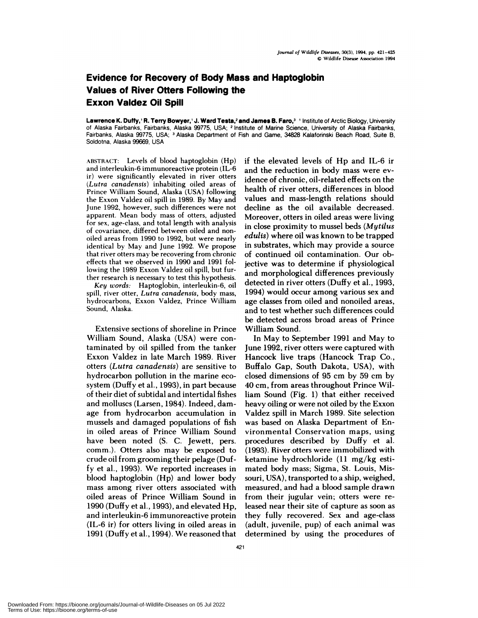## **Evidence for Recovery of Body Mass and Haptoglobin Values of River Otters Following the Exxon Valdez Oil Spill**

Lawrence K. Duffy,' R. Terry Bowyer,' J. Ward Testa,<sup>2</sup> and James B. Faro,<sup>3</sup> ' Institute of Arctic Biology, University of Alaska Fairbanks, Fairbanks, Alaska 99775, USA; <sup>2</sup> Institute of Marine Science, University of Alaska Fairbanks, Fairbanks, Alaska 99775, USA; <sup>3</sup> Alaska Department of Fish and Game, 34828 Kalaforinski Beach Road, Suite B, Soldotna, Alaska 99669, USA

**ABSTRACT:** Levels of blood haptoglobin (Hp) and interleukin-6 immunoreactive protein (IL-6 ir) were significantly elevated in river otters *(Lutra canadensis)* inhabiting oiled areas of Prince William Sound, Alaska (USA) following the Exxon Valdez oil spill in 1989. By May and June 1992, however, such differences were not apparent. Mean body mass of otters, adjusted for sex, age-class, and total length with analysis of covariance, differed between oiled and non oiled areas from 1990 to 1992, but were nearly identical by May and June 1992. We propose that river otters may be recovering from chronic effects that we observed in 1990 and 1991 following the 1989 Exxon Valdez oil spill, but further research is necessary to test this hypothesis.

Key words: Haptoglobin, interleukin-6, oil spill, river otter, *Lutra canadensis,* body mass, hydrocarbons, Exxon Valdez, Prince William Sound, Alaska.

Extensive sections of shoreline in Prince William Sound, Alaska (USA) were contaminated by oil spilled from the tanker Exxon Valdez in late March 1989. Riven otters *(Lutra canadensis)* are sensitive to hydrocarbon pollution in the marine eco system (Duffy et a!., 1993), in part because of their diet of subtidal and intertidal fishes and molluscs (Larsen, 1984). Indeed, damage from hydrocarbon accumulation in mussels and damaged populations of fish in oiled areas of Prince William Sound have been noted (S. C. Jewett, pers. comm.). Otters also may be exposed to crude oil from grooming their pelage (Duffy et al., 1993). We reported increases in blood haptoglobin  $(Hp)$  and lower body mass among riven otters associated with oiled areas of Prince William Sound in 1990 (Duffy et al., 1993), and elevated Hp, and interleukin-6 immunoreactive protein (IL-6 in) for otters living in oiled areas in 1991 (Duffy et al., 1994). We reasoned that if the elevated levels of Hp and IL-6 in and the reduction in body mass were evidence of chronic, oil-related effects on the health of river otters, differences in blood values and mass-length relations should decline as the oil available decreased. Moreover, otters in oiled areas were living in close proximity to mussel beds *(Mytilus edulis)* where oil was known to be trapped in substrates, which may provide a source of continued oil contamination. Our objective was to determine if physiological and morphological differences previously detected in river otters (Duffy et al., 1993, 1994) would occur among various sex and age classes from oiled and nonoiled areas, and to test whether such differences could be detected across broad areas of Prince William Sound.

In May to September 1991 and May to June 1992, river otters were captured with Hancock live traps (Hancock Trap Co., Buffalo Gap, South Dakota, USA), with closed dimensions of 95 cm by 59 cm by 40 cm, from areas throughout Prince William Sound (Fig. 1) that either received heavy oiling or were not oiled by the Exxon Valdez spill in March 1989. Site selection was based on Alaska Department of Environmental Conservation maps, using procedures described by Duffy et al. (1993). River otters were immobilized with ketamine hydrochloride (11 mg/kg estimated body mass; Sigma, St. Louis, Missouri, USA), transported to a ship, weighed, measured, and had a blood sample drawn from their jugular vein; otters were released near their site of capture as soon as they fully recovered. Sex and age-class (adult, juvenile, pup) of each animal was determined by using the procedures of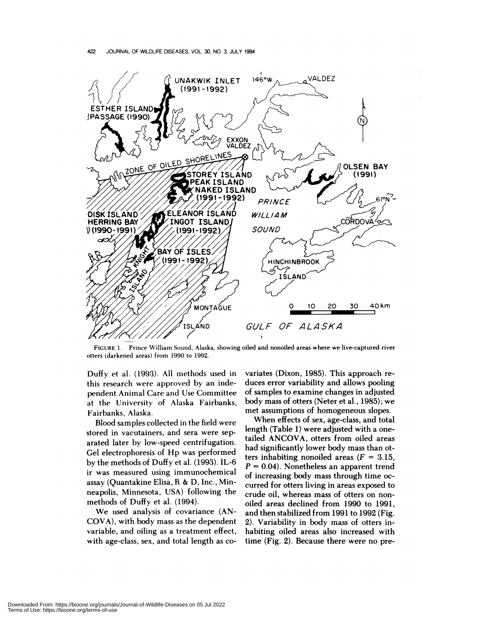

FIGURE 1. Prince William Sound, Alaska, showing oiled and nonoiled areas where we live-captured river otters (darkened areas) from 1990 to 1992.

Duffy et al. (1993). All methods used in this research were approved by an independent Animal Care and Use Committee at the University of Alaska Fairbanks, Fairbanks, Alaska.

Blood samples collected in the field were stored in vacutainers, and sera were separated later by low-speed centrifugation. Gel electrophonesis of Hp was performed by the methods of Duffy et al. (1993). IL-6 ir was measured using immunochemical assay (Quantakine Elisa, R & D, Inc., Minneapolis, Minnesota, USA) following the methods of Duffy et al. (1994).

We used analysis of covariance (AN-COVA), with body mass as the dependent variable, and oiling as a treatment effect, with age-class, sex, and total length as co-

variates (Dixon, 1985). This approach re duces error variability and allows pooling of samples to examine changes in adjusted body mass of otters (Neten et a!., 1985); we met assumptions of homogeneous slopes.

When effects of sex, age-class, and total length (Table 1) were adjusted with a onetailed ANCOVA, otters from oiled areas had significantly lower body mass than otters inhabiting nonoiled areas  $(F = 3.15,$  $P = 0.04$ ). Nonetheless an apparent trend of increasing body mass through time oc curred for otters living in areas exposed to crude oil, whereas mass of otters on non oiled areas declined from 1990 to 1991, and then stabilized from 1991 to 1992 (Fig. 2). Variability in body mass of otters inhabiting oiled areas also increased with time (Fig. 2). Because there were no pre-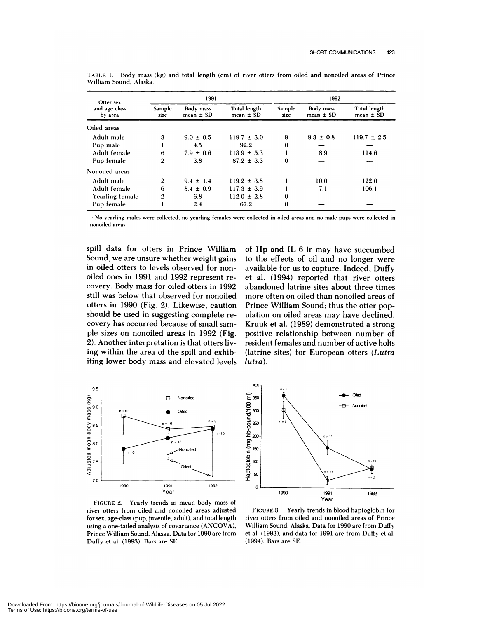| Otter sex<br>and age class<br>by area | 1991                  |                            |                               | 1992           |                            |                               |
|---------------------------------------|-----------------------|----------------------------|-------------------------------|----------------|----------------------------|-------------------------------|
|                                       | <b>Sample</b><br>size | Body mass<br>mean $\pm$ SD | Total length<br>mean $\pm$ SD | Sample<br>size | Body mass<br>mean $\pm$ SD | Total length<br>mean $\pm$ SD |
| Oiled areas                           |                       |                            |                               |                |                            |                               |
| Adult male                            | 3                     | $9.0 \pm 0.5$              | $119.7 \pm 3.0$               | 9              | $9.3 \pm 0.8$              | $119.7 \pm 2.5$               |
| Pup male                              |                       | 4.5                        | 92.2                          | $\bf{0}$       |                            |                               |
| Adult female                          | 6                     | $7.9 \pm 0.6$              | $113.9 \pm 5.3$               |                | 8.9                        | 114.6                         |
| Pup female                            | 2                     | 3.8                        | $87.2 \pm 3.3$                | $\Omega$       |                            |                               |
| Nonoiled areas                        |                       |                            |                               |                |                            |                               |
| Adult male                            | 2                     | $9.4 \pm 1.4$              | $119.2 \pm 3.8$               |                | 10.0                       | 122.0                         |
| Adult female                          | 6                     | $8.4 \pm 0.9$              | $117.3 \pm 3.9$               |                | 7.1                        | 106.1                         |
| Yearling female                       | $\mathbf{2}$          | 6.8                        | $112.0 \pm 2.8$               | $\bf{0}$       |                            |                               |
| Pup female                            |                       | 2.4                        | 67.2                          | 0              |                            |                               |

**TABLE** 1. Body mass (kg) and total length (cm) of river otters from oiled and nonoiled areas of Prince William Sound, Alaska.

No yearling males were collected; no yearling females were collected in oiled areas and no male pups were collected in nonoiled areas

400

spill data for otters in Prince William Sound, we are unsure whether weight gains in oiled otters to levels observed for non oiled ones in 1991 and 1992 represent re covery. Body mass for oiled otters in 1992 still was below that observed for nonoiled otters in 1990 (Fig. 2). Likewise, caution should be used in suggesting complete re covery has occurred because of small sam ple sizes on nonoiled areas in 1992 (Fig. 2). Another interpretation is that otters living within the area of the spill and exhibiting lower body mass and elevated levels



of Hp and IL-6 ir may have succumbed to the effects of oil and no longer were available for us to capture. Indeed, Duffy et al. (1994) reported that river otters abandoned latrine sites about three times more often on oiled than nonoiled areas of Prince William Sound; thus the otter population on oiled areas may have declined. Kruuk et al. (1989) demonstrated a strong positive relationship between number of resident females and number of active holts (latrine sites) for European otters *(Lutra lutra).*



**FIGURE** 2. Yearly trends in mean body mass of river otters from oiled and nonoiled areas adjusted for sex, age-class (pup, juvenile, adult), and total length using a one-tailed analysis of covariance (ANCOVA), Prince William Sound, Alaska. Data for 1990 are from Duffy et al. (1993). Bars are SE.

FIGURE 3. Yearly trends in blood haptoglobin for river otters from oiled and nonoiled areas of Prince William Sound, Alaska. **Data for** 1990 are from Duffy et al. (1993), and data for 1991 are from Duffy et al. (1994). Bars are SE.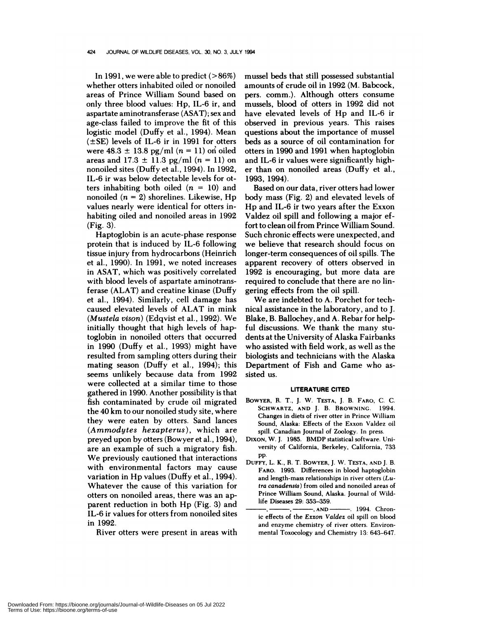In 1991, we were able to predict  $(>86%)$ whether otters inhabited oiled or nonoiled areas of Prince William Sound based on only three blood values: Hp, IL-6 ir, and aspartate aminotransfenase (ASAT) ; sex and age-class failed to improve the fit of this logistic model (Duffy et al., 1994). Mean  $(\pm$ SE) levels of IL-6 ir in 1991 for otters were  $48.3 \pm 13.8$  pg/ml  $(n = 11)$  on oiled areas and  $17.3 \pm 11.3$  pg/ml  $(n = 11)$  on nonoiled sites (Duffy et a!., 1994). In 1992, IL-6 ir was below detectable levels for otters inhabiting both oiled  $(n = 10)$  and nonoiled *(n* <sup>=</sup> 2) shorelines. Likewise, Hp values nearly were identical for otters inhabiting oiled and nonoiled areas in 1992 (Fig. 3).

Haptoglobin is an acute-phase response protein that is induced by IL-6 following tissue injury from hydrocarbons (Heinnich et al., 1990). In 1991, we noted increases in ASAT, which was positively correlated with blood levels of aspartate aminotransferase (ALAT) and creatine kinase (Duffy et al., 1994). Similarly, cell damage has caused elevated levels of ALAT in mink *(Mustela vison)* (Edqvist et al., 1992). We initially thought that high levels of haptoglobin in nonoiled otters that occurred in  $1990$  (Duffy et al., 1993) might have resulted from sampling otters during their mating season (Duffy et al., 1994); this seems unlikely because data from 1992 were collected at a similar time to those gathered in 1990. Another possibility is that fish contaminated by crude oil migrated the 40 km to our nonoiled study site, where they were eaten by otters. Sand lances *(Ammodytes hexapterus),* which are preyed upon by otters (Bowyer et a!., 1994), are an example of such a migratory fish. We previously cautioned that interactions with environmental factors may cause variation in Hp values (Duffy et al., 1994). Whatever the cause of this variation for otters on nonoiled areas, there was an apparent reduction in both Hp (Fig. 3) and IL-6 ir values for otters from nonoiled sites in 1992.

Riven otters were present in areas with

mussel beds that still possessed substantial amounts of crude oil in 1992 (M. Babcock, pers. comm.). Although otters consume mussels, blood of otters in 1992 did not have elevated levels of Hp and IL-6 in observed in previous years. This raises questions about the importance of mussel beds as a source of oil contamination for otters in 1990 and 1991 when haptoglobin and IL-6 ir values were significantly highen than on nonoiled areas (Duffy et al., 1993, 1994).

Based on our data, river otters had lower body mass (Fig. 2) and elevated levels of Hp and IL-6 in two years after the Exxon Valdez oil spill and following a major effort to clean oil from Prince William Sound. Such chronic effects were unexpected, and we believe that research should focus on longer-term consequences of oil spills. The apparent recovery of otters observed in 1992 is encouraging, but more data are required to conclude that there are no lingering effects from the oil spill.

We are indebted to A. Porchet for technical assistance in the laboratory, and to J. Blake, B. Ballochey, and A. Reban for helpful discussions. We thank the many students at the University of Alaska Fairbanks who assisted with field work, as well as the biologists and technicians with the Alaska Department of Fish and Game who as sisted us.

## **LITERATURE CITED**

- BOWYER, **R. T.,** J. **W.** TESTA, J. **B. FARO, C. C. SCHWARTZ, AND** J. **B. BRowNING.** 1994. Changes in diets of river otter in Prince William Sound, Alaska: Effects of the Exxon Valdez oil spill. **Canadian Journal of** Zoology. In press.
- **DIXON, W.** J. **1985. BMDP statistical software. Uni versity of California, Berkeley, California,** 733 pp.
- **DUFFY,** L. K., R. T. **BOWYER,** J. W. **TESTA,AND** J. **B. FARO.** 1993. Differences in blood haptoglobin and length-mass relationships in river otters *(Lu-Ira canadensis)* **from** oiled and nonoiled areas of Prince William Sound, Alaska. Journal of Wildlife Diseases 29: 353-359.
- -, AND **..........** 1994. Chronic effects of the *Exxon Valdez* oil spill on blood and enzyme chemistry of river otters. Environmental Toxocology and Chemistry 13: 643-647.

Downloaded From: https://bioone.org/journals/Journal-of-Wildlife-Diseases on 05 Jul 2022 Terms of Use: https://bioone.org/terms-of-use